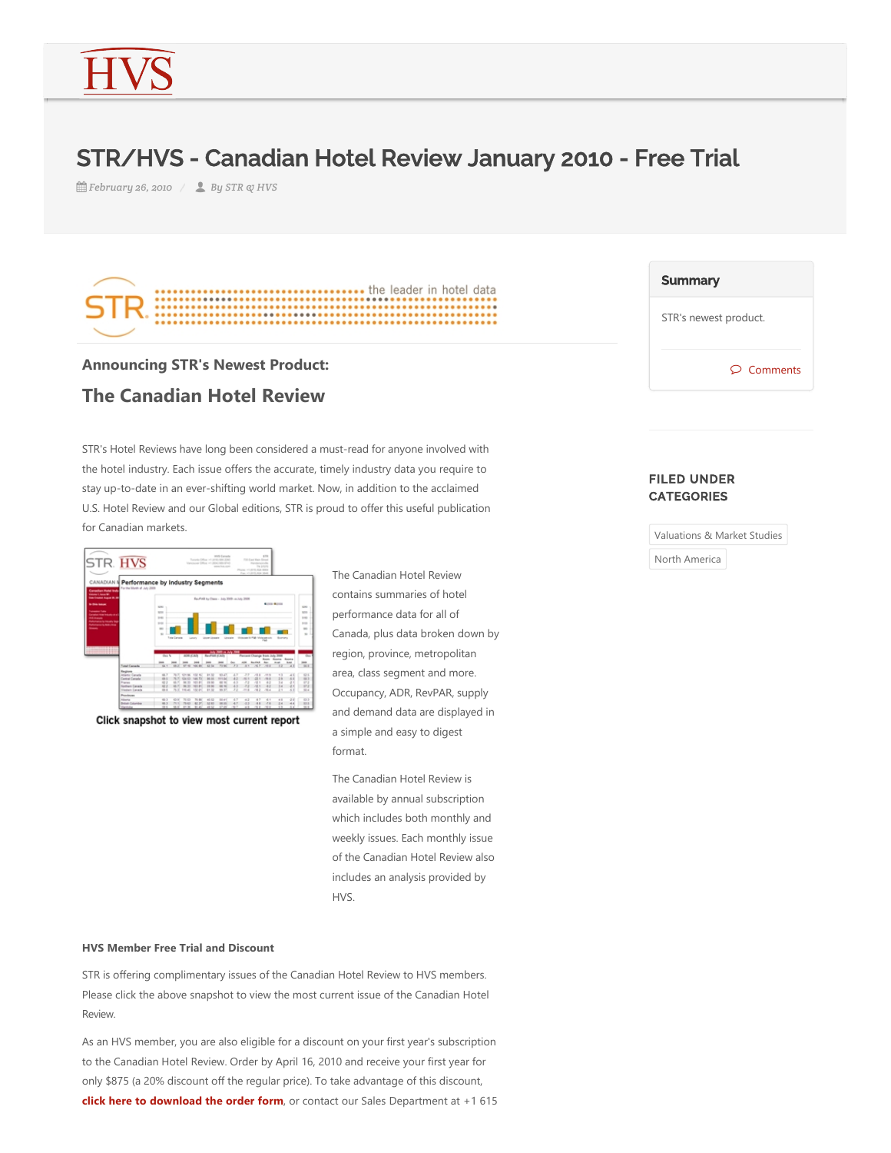## STR/HVS - Canadian Hotel Review January 2010 - Free Trial

*fff February 26, 2010* / ● By STR & HVS



## **Announcing STR's Newest Product: The Canadian Hotel Review**

STR's Hotel Reviews have long been considered a must‐read for anyone involved with the hotel industry. Each issue offers the accurate, timely industry data you require to stay up‐to‐date in an ever‐shifting world market. Now, in addition to the acclaimed U.S. Hotel Review and our Global editions, STR is proud to offer this useful publication for Canadian markets.



Click snapshot to view most current report

The Canadian Hotel Review contains summaries of hotel performance data for all of Canada, plus data broken down by region, province, metropolitan area, class segment and more. Occupancy, ADR, RevPAR, supply and demand data are displayed in a simple and easy to digest format.

The Canadian Hotel Review is available by annual subscription which includes both monthly and weekly issues. Each monthly issue of the Canadian Hotel Review also includes an analysis provided by HVS.

## **HVS Member Free Trial and Discount**

STR is offering complimentary issues of the Canadian Hotel Review to HVS members. Please click the above snapshot to view the most current issue of the Canadian Hotel Review.

As an HVS member, you are also eligible for a discount on your first year's subscription to the Canadian Hotel Review. Order by April 16, 2010 and receive your first year for only \$875 (a 20% discount off the regular price). To take advantage of this discount, **click here to download the order form**, or contact our Sales Department at +1 615

| <b>Summary</b>          |
|-------------------------|
| STR's newest product.   |
| $\circledcirc$ Comments |

## FILED UNDER **CATEGORIES**

Valuations & Market Studies

North America